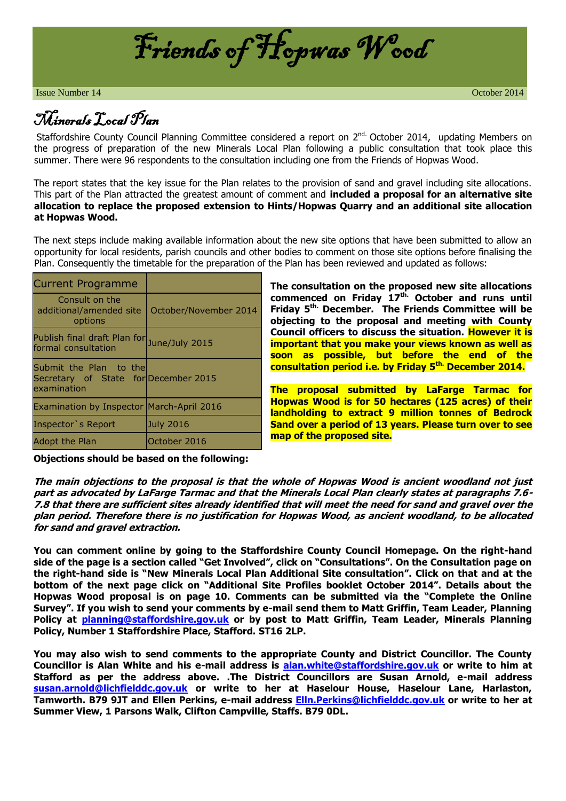

**Issue Number 14** October 2014

## Minerals Local Plan

Staffordshire County Council Planning Committee considered a report on 2<sup>nd.</sup> October 2014, updating Members on the progress of preparation of the new Minerals Local Plan following a public consultation that took place this summer. There were 96 respondents to the consultation including one from the Friends of Hopwas Wood.

The report states that the key issue for the Plan relates to the provision of sand and gravel including site allocations. This part of the Plan attracted the greatest amount of comment and **included a proposal for an alternative site allocation to replace the proposed extension to Hints/Hopwas Quarry and an additional site allocation at Hopwas Wood.**

The next steps include making available information about the new site options that have been submitted to allow an opportunity for local residents, parish councils and other bodies to comment on those site options before finalising the Plan. Consequently the timetable for the preparation of the Plan has been reviewed and updated as follows:

| <b>Current Programme</b>                                                      |                       |
|-------------------------------------------------------------------------------|-----------------------|
| Consult on the<br>additional/amended site<br>options                          | October/November 2014 |
| Publish final draft Plan for June/July 2015<br>formal consultation            |                       |
| Submit the Plan to the<br>Secretary of State for December 2015<br>examination |                       |
| <b>Examination by Inspector March-April 2016</b>                              |                       |
| Inspector's Report                                                            | July 2016             |
| <b>Adopt the Plan</b>                                                         | October 2016          |

**The consultation on the proposed new site allocations commenced on Friday 17th. October and runs until Friday 5th. December. The Friends Committee will be objecting to the proposal and meeting with County Council officers to discuss the situation. However it is important that you make your views known as well as soon as possible, but before the end of the consultation period i.e. by Friday 5th. December 2014.**

**The proposal submitted by LaFarge Tarmac for Hopwas Wood is for 50 hectares (125 acres) of their landholding to extract 9 million tonnes of Bedrock Sand over a period of 13 years. Please turn over to see map of the proposed site.**

**Objections should be based on the following:**

**The main objections to the proposal is that the whole of Hopwas Wood is ancient woodland not just part as advocated by LaFarge Tarmac and that the Minerals Local Plan clearly states at paragraphs 7.6- 7.8 that there are sufficient sites already identified that will meet the need for sand and gravel over the plan period. Therefore there is no justification for Hopwas Wood, as ancient woodland, to be allocated for sand and gravel extraction.** 

**You can comment online by going to the Staffordshire County Council Homepage. On the right-hand side of the page is a section called "Get Involved", click on "Consultations". On the Consultation page on the right-hand side is "New Minerals Local Plan Additional Site consultation". Click on that and at the bottom of the next page click on "Additional Site Profiles booklet October 2014". Details about the Hopwas Wood proposal is on page 10. Comments can be submitted via the "Complete the Online Survey". If you wish to send your comments by e-mail send them to Matt Griffin, Team Leader, Planning Policy at [planning@staffordshire.gov.uk](mailto:planning@staffordshire.gov.uk) or by post to Matt Griffin, Team Leader, Minerals Planning Policy, Number 1 Staffordshire Place, Stafford. ST16 2LP.**

**You may also wish to send comments to the appropriate County and District Councillor. The County Councillor is Alan White and his e-mail address is [alan.white@staffordshire.gov.uk](mailto:alan.white@staffordshire.gov.uk) or write to him at Stafford as per the address above. .The District Councillors are Susan Arnold, e-mail address [susan.arnold@lichfielddc.gov.uk](mailto:susan.arnold@lichfielddc.gov.uk) or write to her at Haselour House, Haselour Lane, Harlaston, Tamworth. B79 9JT and Ellen Perkins, e-mail address [Elln.Perkins@lichfielddc.gov.uk](mailto:Elln.Perkins@lichfielddc.gov.uk) or write to her at Summer View, 1 Parsons Walk, Clifton Campville, Staffs. B79 0DL.**